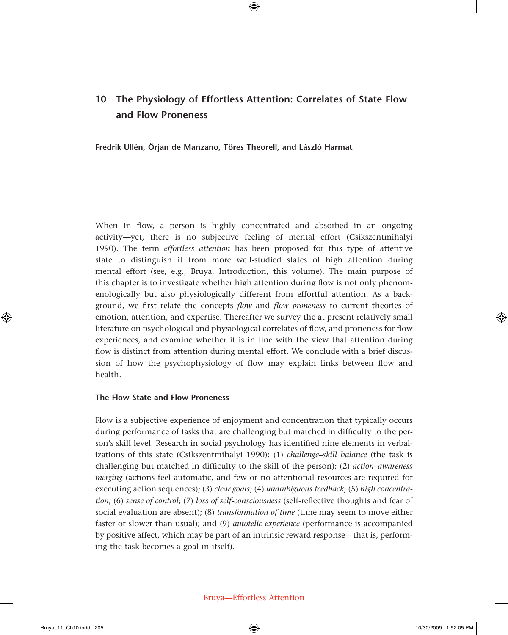# **10 The Physiology of Effortless Attention: Correlates of State Flow and Flow Proneness**

⊕

**Fredrik Ullén, Örjan de Manzano, Töres Theorell, and László Harmat**

When in flow, a person is highly concentrated and absorbed in an ongoing activity—yet, there is no subjective feeling of mental effort (Csikszentmihalyi 1990). The term *effortless attention* has been proposed for this type of attentive state to distinguish it from more well-studied states of high attention during mental effort (see, e.g., Bruya, Introduction, this volume). The main purpose of this chapter is to investigate whether high attention during flow is not only phenomenologically but also physiologically different from effortful attention. As a background, we first relate the concepts *flow* and *flow proneness* to current theories of emotion, attention, and expertise. Thereafter we survey the at present relatively small literature on psychological and physiological correlates of flow, and proneness for flow experiences, and examine whether it is in line with the view that attention during flow is distinct from attention during mental effort. We conclude with a brief discussion of how the psychophysiology of flow may explain links between flow and health.

## **The Flow State and Flow Proneness**

Flow is a subjective experience of enjoyment and concentration that typically occurs during performance of tasks that are challenging but matched in difficulty to the person's skill level. Research in social psychology has identified nine elements in verbalizations of this state (Csikszentmihalyi 1990): (1) *challenge–skill balance* (the task is challenging but matched in difficulty to the skill of the person); (2) *action–awareness merging* (actions feel automatic, and few or no attentional resources are required for executing action sequences); (3) *clear goals*; (4) *unambiguous feedback*; (5) *high concentration*; (6) *sense of control*; (7) *loss of self-consciousness* (self-reflective thoughts and fear of social evaluation are absent); (8) *transformation of time* (time may seem to move either faster or slower than usual); and (9) *autotelic experience* (performance is accompanied by positive affect, which may be part of an intrinsic reward response—that is, performing the task becomes a goal in itself).

Bruya—Effortless Attention

⊕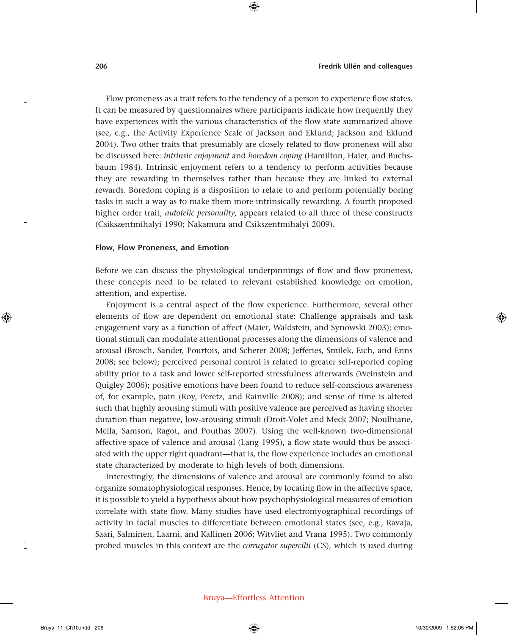Flow proneness as a trait refers to the tendency of a person to experience flow states. It can be measured by questionnaires where participants indicate how frequently they have experiences with the various characteristics of the flow state summarized above (see, e.g., the Activity Experience Scale of Jackson and Eklund; Jackson and Eklund 2004). Two other traits that presumably are closely related to flow proneness will also be discussed here: *intrinsic enjoyment* and *boredom coping* (Hamilton, Haier, and Buchsbaum 1984). Intrinsic enjoyment refers to a tendency to perform activities because they are rewarding in themselves rather than because they are linked to external rewards. Boredom coping is a disposition to relate to and perform potentially boring tasks in such a way as to make them more intrinsically rewarding. A fourth proposed higher order trait, *autotelic personality,* appears related to all three of these constructs (Csikszentmihalyi 1990; Nakamura and Csikszentmihalyi 2009).

⊕

#### **Flow, Flow Proneness, and Emotion**

Before we can discuss the physiological underpinnings of flow and flow proneness, these concepts need to be related to relevant established knowledge on emotion, attention, and expertise.

Enjoyment is a central aspect of the flow experience. Furthermore, several other elements of flow are dependent on emotional state: Challenge appraisals and task engagement vary as a function of affect (Maier, Waldstein, and Synowski 2003); emotional stimuli can modulate attentional processes along the dimensions of valence and arousal (Brosch, Sander, Pourtois, and Scherer 2008; Jefferies, Smilek, Eich, and Enns 2008; see below); perceived personal control is related to greater self-reported coping ability prior to a task and lower self-reported stressfulness afterwards (Weinstein and Quigley 2006); positive emotions have been found to reduce self-conscious awareness of, for example, pain (Roy, Peretz, and Rainville 2008); and sense of time is altered such that highly arousing stimuli with positive valence are perceived as having shorter duration than negative, low-arousing stimuli (Droit-Volet and Meck 2007; Noulhiane, Mella, Samson, Ragot, and Pouthas 2007). Using the well-known two-dimensional affective space of valence and arousal (Lang 1995), a flow state would thus be associated with the upper right quadrant—that is, the flow experience includes an emotional state characterized by moderate to high levels of both dimensions.

Interestingly, the dimensions of valence and arousal are commonly found to also organize somatophysiological responses. Hence, by locating flow in the affective space, it is possible to yield a hypothesis about how psychophysiological measures of emotion correlate with state flow. Many studies have used electromyographical recordings of activity in facial muscles to differentiate between emotional states (see, e.g., Ravaja, Saari, Salminen, Laarni, and Kallinen 2006; Witvliet and Vrana 1995). Two commonly probed muscles in this context are the *corrugator supercilii* (CS), which is used during

Bruya—Effortless Attention

G

⊕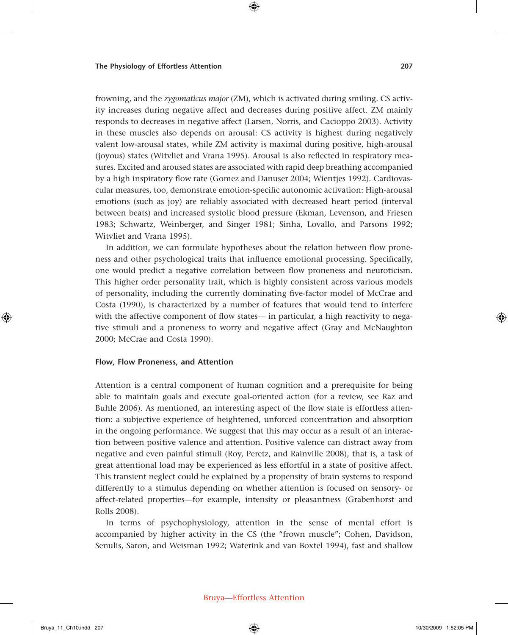frowning, and the *zygomaticus major* (ZM), which is activated during smiling. CS activity increases during negative affect and decreases during positive affect. ZM mainly responds to decreases in negative affect (Larsen, Norris, and Cacioppo 2003). Activity in these muscles also depends on arousal: CS activity is highest during negatively valent low-arousal states, while ZM activity is maximal during positive, high-arousal (joyous) states (Witvliet and Vrana 1995). Arousal is also reflected in respiratory measures. Excited and aroused states are associated with rapid deep breathing accompanied by a high inspiratory flow rate (Gomez and Danuser 2004; Wientjes 1992). Cardiovascular measures, too, demonstrate emotion-specific autonomic activation: High-arousal emotions (such as joy) are reliably associated with decreased heart period (interval between beats) and increased systolic blood pressure (Ekman, Levenson, and Friesen 1983; Schwartz, Weinberger, and Singer 1981; Sinha, Lovallo, and Parsons 1992; Witvliet and Vrana 1995).

⊕

In addition, we can formulate hypotheses about the relation between flow proneness and other psychological traits that influence emotional processing. Specifically, one would predict a negative correlation between flow proneness and neuroticism. This higher order personality trait, which is highly consistent across various models of personality, including the currently dominating five-factor model of McCrae and Costa (1990), is characterized by a number of features that would tend to interfere with the affective component of flow states— in particular, a high reactivity to negative stimuli and a proneness to worry and negative affect (Gray and McNaughton 2000; McCrae and Costa 1990).

# **Flow, Flow Proneness, and Attention**

Attention is a central component of human cognition and a prerequisite for being able to maintain goals and execute goal-oriented action (for a review, see Raz and Buhle 2006). As mentioned, an interesting aspect of the flow state is effortless attention: a subjective experience of heightened, unforced concentration and absorption in the ongoing performance. We suggest that this may occur as a result of an interaction between positive valence and attention. Positive valence can distract away from negative and even painful stimuli (Roy, Peretz, and Rainville 2008), that is, a task of great attentional load may be experienced as less effortful in a state of positive affect. This transient neglect could be explained by a propensity of brain systems to respond differently to a stimulus depending on whether attention is focused on sensory- or affect-related properties—for example, intensity or pleasantness (Grabenhorst and Rolls 2008).

In terms of psychophysiology, attention in the sense of mental effort is accompanied by higher activity in the CS (the "frown muscle"; Cohen, Davidson, Senulis, Saron, and Weisman 1992; Waterink and van Boxtel 1994), fast and shallow

Bruya—Effortless Attention

⊕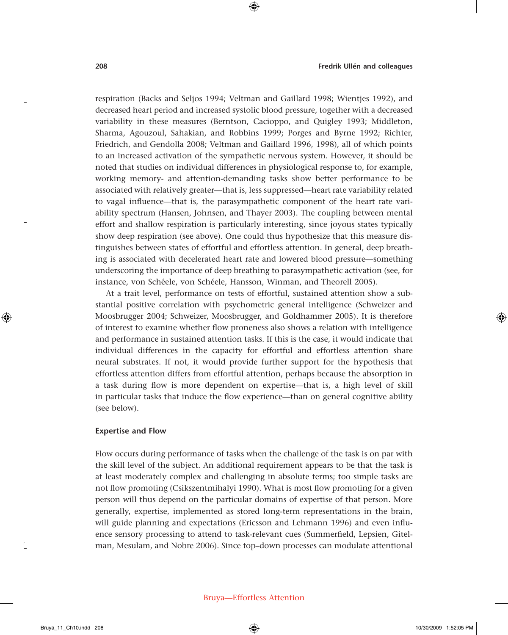respiration (Backs and Seljos 1994; Veltman and Gaillard 1998; Wientjes 1992), and decreased heart period and increased systolic blood pressure, together with a decreased variability in these measures (Berntson, Cacioppo, and Quigley 1993; Middleton, Sharma, Agouzoul, Sahakian, and Robbins 1999; Porges and Byrne 1992; Richter, Friedrich, and Gendolla 2008; Veltman and Gaillard 1996, 1998), all of which points to an increased activation of the sympathetic nervous system. However, it should be noted that studies on individual differences in physiological response to, for example, working memory- and attention-demanding tasks show better performance to be associated with relatively greater—that is, less suppressed—heart rate variability related to vagal influence—that is, the parasympathetic component of the heart rate variability spectrum (Hansen, Johnsen, and Thayer 2003). The coupling between mental effort and shallow respiration is particularly interesting, since joyous states typically show deep respiration (see above). One could thus hypothesize that this measure distinguishes between states of effortful and effortless attention. In general, deep breathing is associated with decelerated heart rate and lowered blood pressure—something underscoring the importance of deep breathing to parasympathetic activation (see, for instance, von Schéele, von Schéele, Hansson, Winman, and Theorell 2005).

⊕

At a trait level, performance on tests of effortful, sustained attention show a substantial positive correlation with psychometric general intelligence (Schweizer and Moosbrugger 2004; Schweizer, Moosbrugger, and Goldhammer 2005). It is therefore of interest to examine whether flow proneness also shows a relation with intelligence and performance in sustained attention tasks. If this is the case, it would indicate that individual differences in the capacity for effortful and effortless attention share neural substrates. If not, it would provide further support for the hypothesis that effortless attention differs from effortful attention, perhaps because the absorption in a task during flow is more dependent on expertise—that is, a high level of skill in particular tasks that induce the flow experience—than on general cognitive ability (see below).

# **Expertise and Flow**

Flow occurs during performance of tasks when the challenge of the task is on par with the skill level of the subject. An additional requirement appears to be that the task is at least moderately complex and challenging in absolute terms; too simple tasks are not flow promoting (Csikszentmihalyi 1990). What is most flow promoting for a given person will thus depend on the particular domains of expertise of that person. More generally, expertise, implemented as stored long-term representations in the brain, will guide planning and expectations (Ericsson and Lehmann 1996) and even influence sensory processing to attend to task-relevant cues (Summerfield, Lepsien, Gitelman, Mesulam, and Nobre 2006). Since top–down processes can modulate attentional

Bruya—Effortless Attention

G

⊕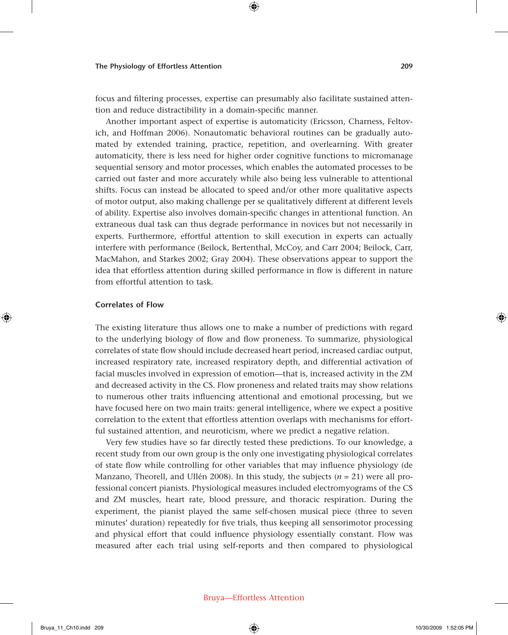# **The Physiology of Effortless Attention 209**

focus and filtering processes, expertise can presumably also facilitate sustained attention and reduce distractibility in a domain-specific manner.

⊕

Another important aspect of expertise is automaticity (Ericsson, Charness, Feltovich, and Hoffman 2006). Nonautomatic behavioral routines can be gradually automated by extended training, practice, repetition, and overlearning. With greater automaticity, there is less need for higher order cognitive functions to micromanage sequential sensory and motor processes, which enables the automated processes to be carried out faster and more accurately while also being less vulnerable to attentional shifts. Focus can instead be allocated to speed and/or other more qualitative aspects of motor output, also making challenge per se qualitatively different at different levels of ability. Expertise also involves domain-specific changes in attentional function. An extraneous dual task can thus degrade performance in novices but not necessarily in experts. Furthermore, effortful attention to skill execution in experts can actually interfere with performance (Beilock, Bertenthal, McCoy, and Carr 2004; Beilock, Carr, MacMahon, and Starkes 2002; Gray 2004). These observations appear to support the idea that effortless attention during skilled performance in flow is different in nature from effortful attention to task.

#### **Correlates of Flow**

⊕

The existing literature thus allows one to make a number of predictions with regard to the underlying biology of flow and flow proneness. To summarize, physiological correlates of state flow should include decreased heart period, increased cardiac output, increased respiratory rate, increased respiratory depth, and differential activation of facial muscles involved in expression of emotion—that is, increased activity in the ZM and decreased activity in the CS. Flow proneness and related traits may show relations to numerous other traits influencing attentional and emotional processing, but we have focused here on two main traits: general intelligence, where we expect a positive correlation to the extent that effortless attention overlaps with mechanisms for effortful sustained attention, and neuroticism, where we predict a negative relation.

Very few studies have so far directly tested these predictions. To our knowledge, a recent study from our own group is the only one investigating physiological correlates of state flow while controlling for other variables that may influence physiology (de Manzano, Theorell, and Ullén 2008). In this study, the subjects (*n* = 21) were all professional concert pianists. Physiological measures included electromyograms of the CS and ZM muscles, heart rate, blood pressure, and thoracic respiration. During the experiment, the pianist played the same self-chosen musical piece (three to seven minutes' duration) repeatedly for five trials, thus keeping all sensorimotor processing and physical effort that could influence physiology essentially constant. Flow was measured after each trial using self-reports and then compared to physiological

Bruya—Effortless Attention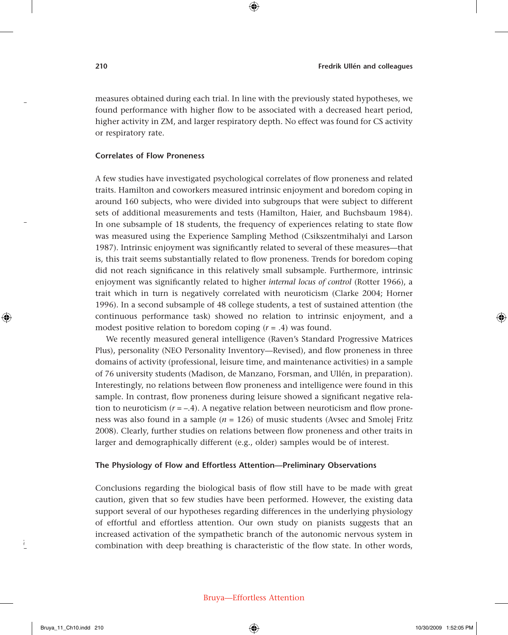measures obtained during each trial. In line with the previously stated hypotheses, we found performance with higher flow to be associated with a decreased heart period, higher activity in ZM, and larger respiratory depth. No effect was found for CS activity or respiratory rate.

 $\textcircled{\scriptsize{+}}$ 

# **Correlates of Flow Proneness**

A few studies have investigated psychological correlates of flow proneness and related traits. Hamilton and coworkers measured intrinsic enjoyment and boredom coping in around 160 subjects, who were divided into subgroups that were subject to different sets of additional measurements and tests (Hamilton, Haier, and Buchsbaum 1984). In one subsample of 18 students, the frequency of experiences relating to state flow was measured using the Experience Sampling Method (Csikszentmihalyi and Larson 1987). Intrinsic enjoyment was significantly related to several of these measures—that is, this trait seems substantially related to flow proneness. Trends for boredom coping did not reach significance in this relatively small subsample. Furthermore, intrinsic enjoyment was significantly related to higher *internal locus of control* (Rotter 1966), a trait which in turn is negatively correlated with neuroticism (Clarke 2004; Horner 1996). In a second subsample of 48 college students, a test of sustained attention (the continuous performance task) showed no relation to intrinsic enjoyment, and a modest positive relation to boredom coping (*r* = .4) was found.

We recently measured general intelligence (Raven's Standard Progressive Matrices Plus), personality (NEO Personality Inventory—Revised), and flow proneness in three domains of activity (professional, leisure time, and maintenance activities) in a sample of 76 university students (Madison, de Manzano, Forsman, and Ullén, in preparation). Interestingly, no relations between flow proneness and intelligence were found in this sample. In contrast, flow proneness during leisure showed a significant negative relation to neuroticism  $(r = -4)$ . A negative relation between neuroticism and flow proneness was also found in a sample (*n* = 126) of music students (Avsec and Smolej Fritz 2008). Clearly, further studies on relations between flow proneness and other traits in larger and demographically different (e.g., older) samples would be of interest.

#### **The Physiology of Flow and Effortless Attention—Preliminary Observations**

Conclusions regarding the biological basis of flow still have to be made with great caution, given that so few studies have been performed. However, the existing data support several of our hypotheses regarding differences in the underlying physiology of effortful and effortless attention. Our own study on pianists suggests that an increased activation of the sympathetic branch of the autonomic nervous system in combination with deep breathing is characteristic of the flow state. In other words,

Bruya—Effortless Attention

G

↔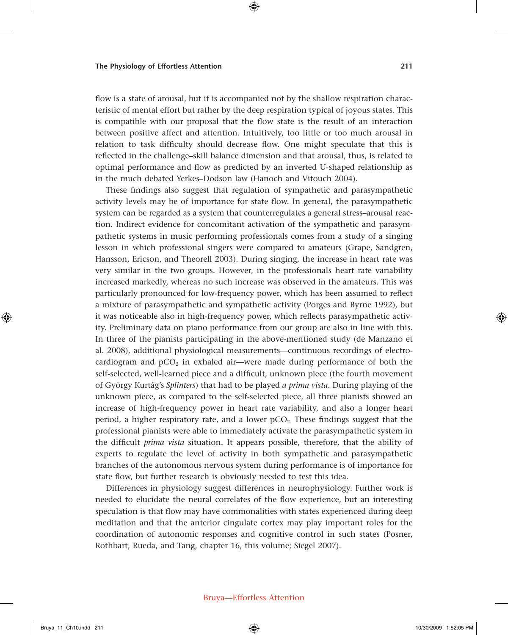flow is a state of arousal, but it is accompanied not by the shallow respiration characteristic of mental effort but rather by the deep respiration typical of joyous states. This is compatible with our proposal that the flow state is the result of an interaction between positive affect and attention. Intuitively, too little or too much arousal in relation to task difficulty should decrease flow. One might speculate that this is reflected in the challenge–skill balance dimension and that arousal, thus, is related to optimal performance and flow as predicted by an inverted U-shaped relationship as in the much debated Yerkes–Dodson law (Hanoch and Vitouch 2004).

⊕

These findings also suggest that regulation of sympathetic and parasympathetic activity levels may be of importance for state flow. In general, the parasympathetic system can be regarded as a system that counterregulates a general stress–arousal reaction. Indirect evidence for concomitant activation of the sympathetic and parasympathetic systems in music performing professionals comes from a study of a singing lesson in which professional singers were compared to amateurs (Grape, Sandgren, Hansson, Ericson, and Theorell 2003). During singing, the increase in heart rate was very similar in the two groups. However, in the professionals heart rate variability increased markedly, whereas no such increase was observed in the amateurs. This was particularly pronounced for low-frequency power, which has been assumed to reflect a mixture of parasympathetic and sympathetic activity (Porges and Byrne 1992), but it was noticeable also in high-frequency power, which reflects parasympathetic activity. Preliminary data on piano performance from our group are also in line with this. In three of the pianists participating in the above-mentioned study (de Manzano et al. 2008), additional physiological measurements—continuous recordings of electrocardiogram and  $pCO<sub>2</sub>$  in exhaled air—were made during performance of both the self-selected, well-learned piece and a difficult, unknown piece (the fourth movement of György Kurtág's *Splinters*) that had to be played *a prima vista*. During playing of the unknown piece, as compared to the self-selected piece, all three pianists showed an increase of high-frequency power in heart rate variability, and also a longer heart period, a higher respiratory rate, and a lower  $pCO<sub>2</sub>$ . These findings suggest that the professional pianists were able to immediately activate the parasympathetic system in the difficult *prima vista* situation. It appears possible, therefore, that the ability of experts to regulate the level of activity in both sympathetic and parasympathetic branches of the autonomous nervous system during performance is of importance for state flow, but further research is obviously needed to test this idea.

Differences in physiology suggest differences in neurophysiology. Further work is needed to elucidate the neural correlates of the flow experience, but an interesting speculation is that flow may have commonalities with states experienced during deep meditation and that the anterior cingulate cortex may play important roles for the coordination of autonomic responses and cognitive control in such states (Posner, Rothbart, Rueda, and Tang, chapter 16, this volume; Siegel 2007).

Bruya—Effortless Attention

⊕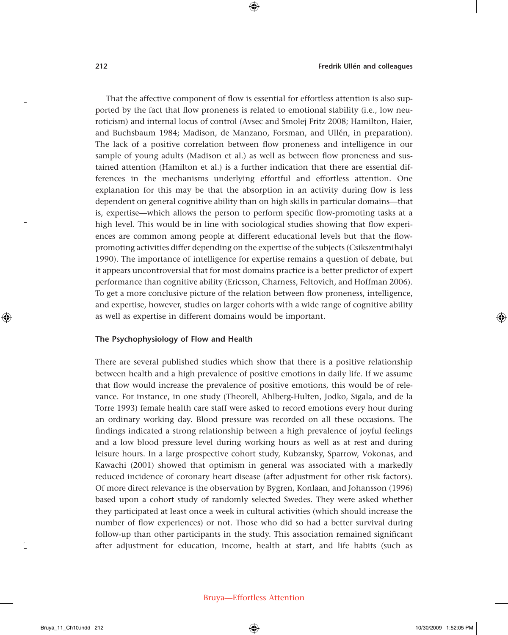That the affective component of flow is essential for effortless attention is also supported by the fact that flow proneness is related to emotional stability (i.e., low neuroticism) and internal locus of control (Avsec and Smolej Fritz 2008; Hamilton, Haier, and Buchsbaum 1984; Madison, de Manzano, Forsman, and Ullén, in preparation). The lack of a positive correlation between flow proneness and intelligence in our sample of young adults (Madison et al.) as well as between flow proneness and sustained attention (Hamilton et al.) is a further indication that there are essential differences in the mechanisms underlying effortful and effortless attention. One explanation for this may be that the absorption in an activity during flow is less dependent on general cognitive ability than on high skills in particular domains—that is, expertise—which allows the person to perform specific flow-promoting tasks at a high level. This would be in line with sociological studies showing that flow experiences are common among people at different educational levels but that the flowpromoting activities differ depending on the expertise of the subjects (Csikszentmihalyi 1990). The importance of intelligence for expertise remains a question of debate, but it appears uncontroversial that for most domains practice is a better predictor of expert performance than cognitive ability (Ericsson, Charness, Feltovich, and Hoffman 2006). To get a more conclusive picture of the relation between flow proneness, intelligence, and expertise, however, studies on larger cohorts with a wide range of cognitive ability as well as expertise in different domains would be important.

⊕

#### **The Psychophysiology of Flow and Health**

There are several published studies which show that there is a positive relationship between health and a high prevalence of positive emotions in daily life. If we assume that flow would increase the prevalence of positive emotions, this would be of relevance. For instance, in one study (Theorell, Ahlberg-Hulten, Jodko, Sigala, and de la Torre 1993) female health care staff were asked to record emotions every hour during an ordinary working day. Blood pressure was recorded on all these occasions. The findings indicated a strong relationship between a high prevalence of joyful feelings and a low blood pressure level during working hours as well as at rest and during leisure hours. In a large prospective cohort study, Kubzansky, Sparrow, Vokonas, and Kawachi (2001) showed that optimism in general was associated with a markedly reduced incidence of coronary heart disease (after adjustment for other risk factors). Of more direct relevance is the observation by Bygren, Konlaan, and Johansson (1996) based upon a cohort study of randomly selected Swedes. They were asked whether they participated at least once a week in cultural activities (which should increase the number of flow experiences) or not. Those who did so had a better survival during follow-up than other participants in the study. This association remained significant after adjustment for education, income, health at start, and life habits (such as

Bruya—Effortless Attention

G

⊕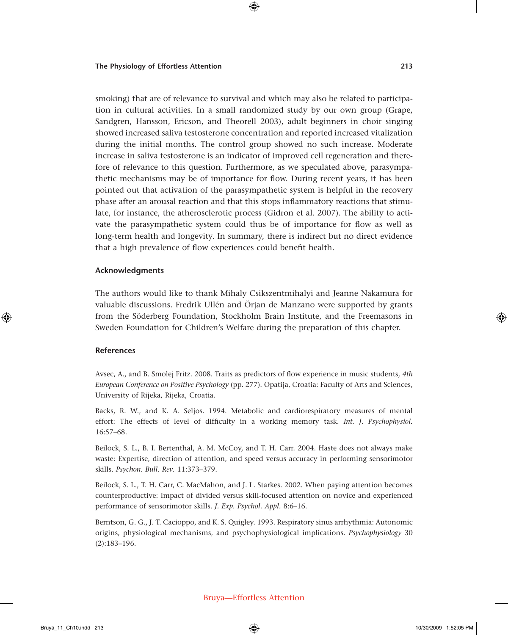smoking) that are of relevance to survival and which may also be related to participation in cultural activities. In a small randomized study by our own group (Grape, Sandgren, Hansson, Ericson, and Theorell 2003), adult beginners in choir singing showed increased saliva testosterone concentration and reported increased vitalization during the initial months. The control group showed no such increase. Moderate increase in saliva testosterone is an indicator of improved cell regeneration and therefore of relevance to this question. Furthermore, as we speculated above, parasympathetic mechanisms may be of importance for flow. During recent years, it has been pointed out that activation of the parasympathetic system is helpful in the recovery phase after an arousal reaction and that this stops inflammatory reactions that stimulate, for instance, the atherosclerotic process (Gidron et al. 2007). The ability to activate the parasympathetic system could thus be of importance for flow as well as long-term health and longevity. In summary, there is indirect but no direct evidence that a high prevalence of flow experiences could benefit health.

⊕

### **Acknowledgments**

The authors would like to thank Mihaly Csikszentmihalyi and Jeanne Nakamura for valuable discussions. Fredrik Ullén and Örjan de Manzano were supported by grants from the Söderberg Foundation, Stockholm Brain Institute, and the Freemasons in Sweden Foundation for Children's Welfare during the preparation of this chapter.

# **References**

⊕

Avsec, A., and B. Smolej Fritz. 2008. Traits as predictors of flow experience in music students, *4th European Conference on Positive Psychology* (pp. 277). Opatija, Croatia: Faculty of Arts and Sciences, University of Rijeka, Rijeka, Croatia.

Backs, R. W., and K. A. Seljos. 1994. Metabolic and cardiorespiratory measures of mental effort: The effects of level of difficulty in a working memory task. *Int. J. Psychophysiol.* 16:57–68.

Beilock, S. L., B. I. Bertenthal, A. M. McCoy, and T. H. Carr. 2004. Haste does not always make waste: Expertise, direction of attention, and speed versus accuracy in performing sensorimotor skills. *Psychon. Bull. Rev.* 11:373–379.

Beilock, S. L., T. H. Carr, C. MacMahon, and J. L. Starkes. 2002. When paying attention becomes counterproductive: Impact of divided versus skill-focused attention on novice and experienced performance of sensorimotor skills. *J. Exp. Psychol. Appl.* 8:6–16.

Berntson, G. G., J. T. Cacioppo, and K. S. Quigley. 1993. Respiratory sinus arrhythmia: Autonomic origins, physiological mechanisms, and psychophysiological implications. *Psychophysiology* 30 (2):183–196.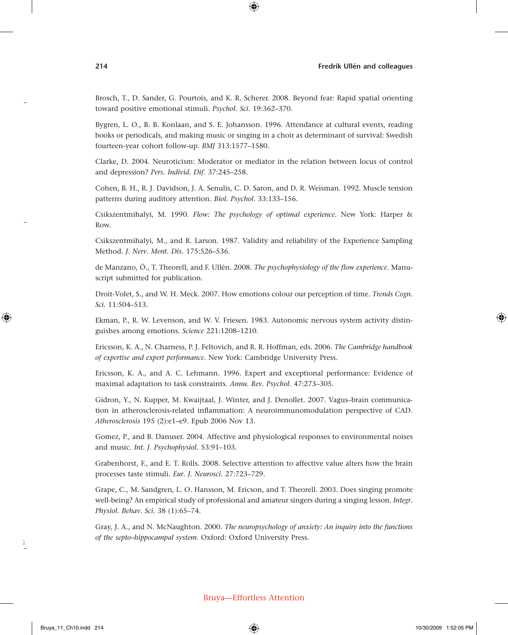Brosch, T., D. Sander, G. Pourtois, and K. R. Scherer. 2008. Beyond fear: Rapid spatial orienting toward positive emotional stimuli. *Psychol. Sci.* 19:362–370.

⊕

Bygren, L. O., B. B. Konlaan, and S. E. Johansson. 1996. Attendance at cultural events, reading books or periodicals, and making music or singing in a choir as determinant of survival: Swedish fourteen-year cohort follow-up. *BMJ* 313:1577–1580.

Clarke, D. 2004. Neuroticism: Moderator or mediator in the relation between locus of control and depression? *Pers. Individ. Dif.* 37:245–258.

Cohen, B. H., R. J. Davidson, J. A. Senulis, C. D. Saron, and D. R. Weisman. 1992. Muscle tension patterns during auditory attention. *Biol. Psychol.* 33:133–156.

Csikszentmihalyi, M. 1990. *Flow: The psychology of optimal experience*. New York: Harper & Row.

Csikszentmihalyi, M., and R. Larson. 1987. Validity and reliability of the Experience Sampling Method. *J. Nerv. Ment. Dis.* 175:526–536.

de Manzano, Ö., T. Theorell, and F. Ullén. 2008. *The psychophysiology of the flow experience*. Manuscript submitted for publication.

Droit-Volet, S., and W. H. Meck. 2007. How emotions colour our perception of time. *Trends Cogn. Sci.* 11:504–513.

Ekman, P., R. W. Levenson, and W. V. Friesen. 1983. Autonomic nervous system activity distinguishes among emotions. *Science* 221:1208–1210.

Ericsson, K. A., N. Charness, P. J. Feltovich, and R. R. Hoffman, eds. 2006. *The Cambridge handbook of expertise and expert performance*. New York: Cambridge University Press.

Ericsson, K. A., and A. C. Lehmann. 1996. Expert and exceptional performance: Evidence of maximal adaptation to task constraints. *Annu. Rev. Psychol.* 47:273–305.

Gidron, Y., N. Kupper, M. Kwaijtaal, J. Winter, and J. Denollet. 2007. Vagus–brain communication in atherosclerosis-related inflammation: A neuroimmunomodulation perspective of CAD. *Atherosclerosis* 195 (2):e1–e9. Epub 2006 Nov 13.

Gomez, P., and B. Danuser. 2004. Affective and physiological responses to environmental noises and music. *Int. J. Psychophysiol.* 53:91–103.

Grabenhorst, F., and E. T. Rolls. 2008. Selective attention to affective value alters how the brain processes taste stimuli. *Eur. J. Neurosci.* 27:723–729.

Grape, C., M. Sandgren, L. O. Hansson, M. Ericson, and T. Theorell. 2003. Does singing promote well-being? An empirical study of professional and amateur singers during a singing lesson. *Integr. Physiol. Behav. Sci.* 38 (1):65–74.

Gray, J. A., and N. McNaughton. 2000. *The neuropsychology of anxiety: An inquiry into the functions of the septo–hippocampal system*. Oxford: Oxford University Press.

Bruya—Effortless Attention

G

⊕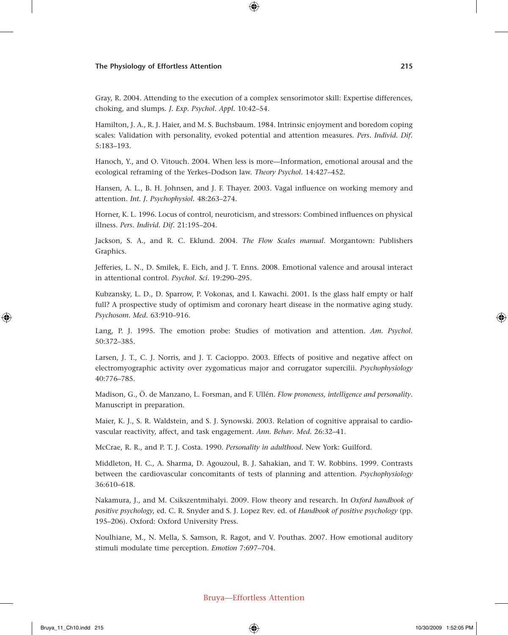# **The Physiology of Effortless Attention 215**

Gray, R. 2004. Attending to the execution of a complex sensorimotor skill: Expertise differences, choking, and slumps. *J. Exp. Psychol. Appl.* 10:42–54.

⊕

Hamilton, J. A., R. J. Haier, and M. S. Buchsbaum. 1984. Intrinsic enjoyment and boredom coping scales: Validation with personality, evoked potential and attention measures. *Pers. Individ. Dif.* 5:183–193.

Hanoch, Y., and O. Vitouch. 2004. When less is more—Information, emotional arousal and the ecological reframing of the Yerkes–Dodson law. *Theory Psychol.* 14:427–452.

Hansen, A. L., B. H. Johnsen, and J. F. Thayer. 2003. Vagal influence on working memory and attention. *Int. J. Psychophysiol.* 48:263–274.

Horner, K. L. 1996. Locus of control, neuroticism, and stressors: Combined influences on physical illness. *Pers. Individ. Dif.* 21:195–204.

Jackson, S. A., and R. C. Eklund. 2004. *The Flow Scales manual*. Morgantown: Publishers Graphics.

Jefferies, L. N., D. Smilek, E. Eich, and J. T. Enns. 2008. Emotional valence and arousal interact in attentional control. *Psychol. Sci.* 19:290–295.

Kubzansky, L. D., D. Sparrow, P. Vokonas, and I. Kawachi. 2001. Is the glass half empty or half full? A prospective study of optimism and coronary heart disease in the normative aging study. *Psychosom. Med.* 63:910–916.

Lang, P. J. 1995. The emotion probe: Studies of motivation and attention. *Am. Psychol.* 50:372–385.

Larsen, J. T., C. J. Norris, and J. T. Cacioppo. 2003. Effects of positive and negative affect on electromyographic activity over zygomaticus major and corrugator supercilii. *Psychophysiology* 40:776–785.

Madison, G., Ö. de Manzano, L. Forsman, and F. Ullén. *Flow proneness, intelligence and personality*. Manuscript in preparation.

Maier, K. J., S. R. Waldstein, and S. J. Synowski. 2003. Relation of cognitive appraisal to cardiovascular reactivity, affect, and task engagement. *Ann. Behav. Med.* 26:32–41.

McCrae, R. R., and P. T. J. Costa. 1990. *Personality in adulthood*. New York: Guilford.

Middleton, H. C., A. Sharma, D. Agouzoul, B. J. Sahakian, and T. W. Robbins. 1999. Contrasts between the cardiovascular concomitants of tests of planning and attention. *Psychophysiology* 36:610–618.

Nakamura, J., and M. Csikszentmihalyi. 2009. Flow theory and research. In *Oxford handbook of positive psychology*, ed. C. R. Snyder and S. J. Lopez Rev. ed. of *Handbook of positive psychology* (pp. 195–206). Oxford: Oxford University Press.

Noulhiane, M., N. Mella, S. Samson, R. Ragot, and V. Pouthas. 2007. How emotional auditory stimuli modulate time perception. *Emotion* 7:697–704.

Bruya—Effortless Attention

⊕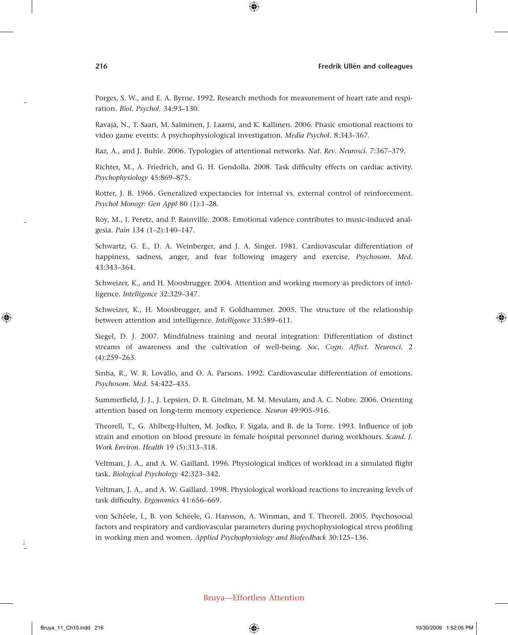## **216 Fredrik Ullén and colleagues**

Porges, S. W., and E. A. Byrne. 1992. Research methods for measurement of heart rate and respiration. *Biol. Psychol.* 34:93–130.

⊕

Ravaja, N., T. Saari, M. Salminen, J. Laarni, and K. Kallinen. 2006. Phasic emotional reactions to video game events: A psychophysiological investigation. *Media Psychol.* 8:343–367.

Raz, A., and J. Buhle. 2006. Typologies of attentional networks. *Nat. Rev. Neurosci.* 7:367–379.

Richter, M., A. Friedrich, and G. H. Gendolla. 2008. Task difficulty effects on cardiac activity. *Psychophysiology* 45:869–875.

Rotter, J. B. 1966. Generalized expectancies for internal vs. external control of reinforcement. *Psychol Monogr: Gen Appl* 80 (1):1–28.

Roy, M., I. Peretz, and P. Rainville. 2008. Emotional valence contributes to music-induced analgesia. *Pain* 134 (1–2):140–147.

Schwartz, G. E., D. A. Weinberger, and J. A. Singer. 1981. Cardiovascular differentiation of happiness, sadness, anger, and fear following imagery and exercise. *Psychosom. Med.* 43:343–364.

Schweizer, K., and H. Moosbrugger. 2004. Attention and working memory as predictors of intelligence. *Intelligence* 32:329–347.

Schweizer, K., H. Moosbrugger, and F. Goldhammer. 2005. The structure of the relationship between attention and intelligence. *Intelligence* 33:589–611.

Siegel, D. J. 2007. Mindfulness training and neural integration: Differentiation of distinct streams of awareness and the cultivation of well-being. *Soc. Cogn. Affect. Neurosci.* 2 (4):259–263.

Sinha, R., W. R. Lovallo, and O. A. Parsons. 1992. Cardiovascular differentiation of emotions. *Psychosom. Med.* 54:422–435.

Summerfield, J. J., J. Lepsien, D. R. Gitelman, M. M. Mesulam, and A. C. Nobre. 2006. Orienting attention based on long-term memory experience. *Neuron* 49:905–916.

Theorell, T., G. Ahlberg-Hulten, M. Jodko, F. Sigala, and B. de la Torre. 1993. Influence of job strain and emotion on blood pressure in female hospital personnel during workhours. *Scand. J. Work Environ. Health* 19 (5):313–318.

Veltman, J. A., and A. W. Gaillard. 1996. Physiological indices of workload in a simulated flight task. *Biological Psychology* 42:323–342.

Veltman, J. A., and A. W. Gaillard. 1998. Physiological workload reactions to increasing levels of task difficulty. *Ergonomics* 41:656–669.

von Schéele, I., B. von Schéele, G. Hansson, A. Winman, and T. Theorell. 2005. Psychosocial factors and respiratory and cardiovascular parameters during psychophysiological stress profiling in working men and women. *Applied Psychophysiology and Biofeedback* 30:125–136.

#### Bruya—Effortless Attention

G

⊕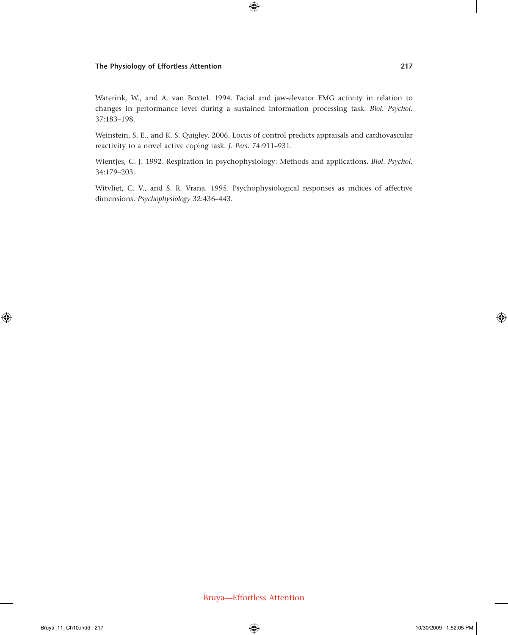# **The Physiology of Effortless Attention 217**

Waterink, W., and A. van Boxtel. 1994. Facial and jaw-elevator EMG activity in relation to changes in performance level during a sustained information processing task. *Biol. Psychol.* 37:183–198.

 $\bigoplus$ 

Weinstein, S. E., and K. S. Quigley. 2006. Locus of control predicts appraisals and cardiovascular reactivity to a novel active coping task. *J. Pers.* 74:911–931.

Wientjes, C. J. 1992. Respiration in psychophysiology: Methods and applications. *Biol. Psychol.* 34:179–203.

Witvliet, C. V., and S. R. Vrana. 1995. Psychophysiological responses as indices of affective dimensions. *Psychophysiology* 32:436–443.

# Bruya—Effortless Attention

 $\bigoplus$